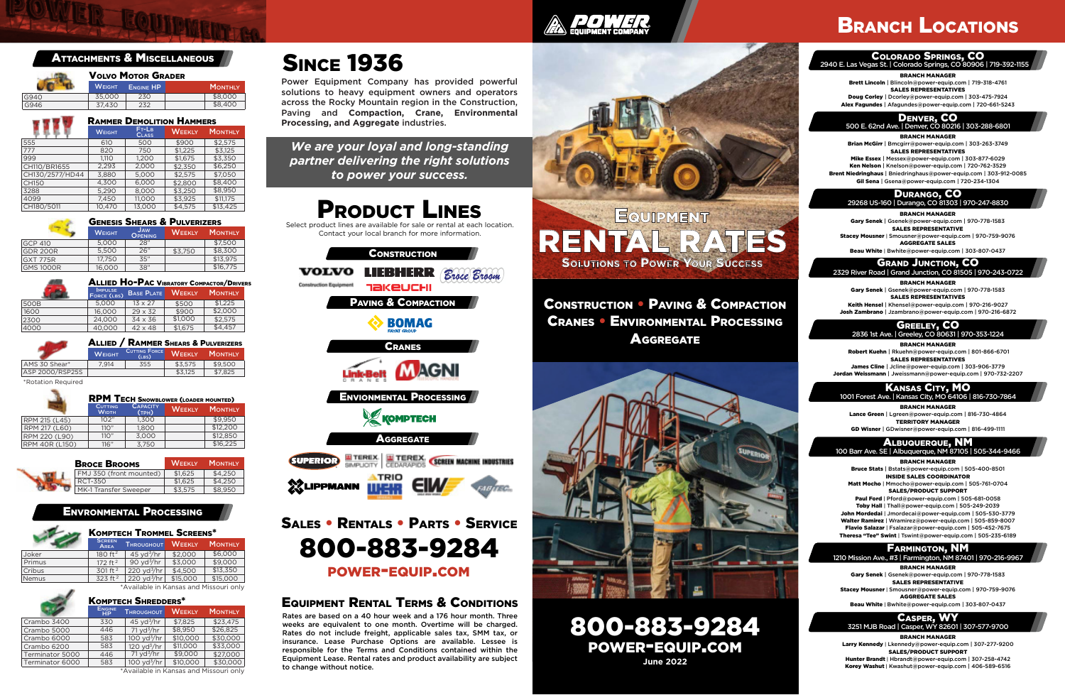*We are your loyal and long-standing partner delivering the right solutions to power your success.*

SALES • RENTALS • PARTS • SERVICE 800-883-9284

POWER-EQUIP.COM

## EQUIPMENT RENTAL TERMS & CONDITIONS

RENTAL RATES **SOLUTIONS TO POWER YOUR SUCCESS EQUIPMENT** 

POW4

800-883-9284 POWER-EQUIP.COM **June 2022**

# BRANCH LOCATIONS

Walter Ramirez | Wramirez@power-equip.com | 505-859-8007 Toby Hall | Thall@power-equip.com | 505-249-2039 Theresa "Tee" Swint | Tswint@power-equip.com | 505-235-6189 John Mordedai | Jmordecai@power-equip.com | 505-530-3779 Flavio Salazar | Fsalazar@power-equip.com | 505-452-7675



Gary Senek | Gsenek@power-equip.com | 970-778-1583 BRANCH MANAGER SALES REPRESENTATIVE

Stacey Mousner | Smousner@power-equip.com | 970-759-9076 AGGREGATE SALES

Beau White | Bwhite@power-equip.com | 303-807-0437

FARMINGTON, NM

1210 Mission Ave., #3 | Farmington, NM 87401 | 970-216-99

Larry Kennedy | Lkennedy@power-equip.com | 307-277-9200 BRANCH MANAGER SALES/PRODUCT SUPPORT

Korey Washut | Kwashut@power-equip.com | 406-589-6516 Hunter Brandt | Hbrandt@power-equip.com | 307-258-4742

CASPER, WY 3251 MJB Road | Casper, WY 82601 | 307-577-9700

Rates are based on a 40 hour week and a 176 hour month. Three weeks are equivalent to one month. Overtime will be charged. Rates do not include freight, applicable sales tax, SMM tax, or insurance. Lease Purchase Options are available. Lessee is responsible for the Terms and Conditions contained within the Equipment Lease. Rental rates and product availability are subject to change without notice.

Brett Lincoln | Blincoln@power-equip.com | 719-318-4761 Alex Fagundes | Afagundes@power-equip.com | 720-661-5243 Doug Corley | Dcorley@power-equip.com | 303-475-7924 BRANCH MANAGER SALES REPRESENTATIVES COLORADO SPRINGS, CO 2940 E. Las Vegas St. | Colorado Springs, CO 80906 | 719-392-1155 Brian McGirr | Bmcgirr@power-equip.com | 303-263-3749 Mike Essex | Messex@power-equip.com | 303-877-6029 Gil Sena | Gsena@power-equip.com | 720-234-1304 Ken Nelson | Knelson@power-equip.com | 720-762-3529 Niedringhaus | Bniedringhaus@power-equip.com | 303-912-0085 BRANCH MANAGER SALES REPRESENTATIVES **DENVER, CO**<br>500 E. 62nd Ave. | Denver, CO 80216 | 303-288-6801 Gary Senek | Gsenek@power-equip.com | 970-778-1583 Keith Hensel | Khensel@power-equip.com | 970-216-9027 Josh Zambrano | Jzambrano@power-equip.com | 970-216-6872 BRANCH MANAGER SALES REPRESENTATIVES **GRAND JUNCTION, CO** 2329 River Road | Grand Junction, CO 81505 | 970-243-0722 Robert Kuehn | Rkuehn@power-equip.com | 801-866-6701 James Cline | Jcline@power-equip.com | 303-906-3779 Jordan Weissmann | Jweissmann@power-equip.com | 970-732-2207 BRANCH MANAGER SALES REPRESENTATIVES GREELEY, CO 2836 1st Ave. | Greeley, CO 80631 | 970-353-1224 Lance Green | Lgreen@power-equip.com | 816-730-4864 GD Wisner | GDwisner@power-equip.com | 816-499-1111 BRANCH MANAGER TERRITORY MANAGER KANSAS CITY, MO 1001 Forest Ave. | Kansas City, MO 64106 | 816-730-7864 Bruce Stats | Bstats@power-equip.com | 505-400-8501 Matt Mocho | Mmocho@power-equip.com | 505-761-0704 Paul Ford | Pford@power-equip.com | 505-681-0058 BRANCH MANAGER SALES/PRODUCT SUPPORT INSIDE SALES COORDINATOR ALBUQUERQUE, NM 100 Barr Ave. SE | Albuquerque, NM 87105 | 505-344-9466 DURANGO, CO 29268 US-160 | Durango, CO 81303 | 970-247-8830 Gary Senek | Gsenek@power-equip.com | 970-778-1583 Stacey Mousner | Smousner@power-equip.com | 970-759-9076 BRANCH MANAGER AGGREGATE SALES SALES REPRESENTATIVE Beau White | Bwhite@power-equip.com | 303-807-0437

Power Equipment Company has provided powerful solutions to heavy equipment owners and operators across the Rocky Mountain region in the Construction, Paving and **Compaction, Crane, Environmental Processing, and Aggregate** industries.



|                 | <b>RAMMER DEMOLITION HAMMERS</b> |                                                |               |                |
|-----------------|----------------------------------|------------------------------------------------|---------------|----------------|
|                 | <b>WEIGHT</b>                    | F <sub>T</sub> -L <sub>B</sub><br><b>CLASS</b> | <b>WEEKLY</b> | <b>MONTHLY</b> |
| 555             | 610                              | 500                                            | \$900         | \$2.575        |
| 777             | 820                              | 750                                            | \$1.225       | \$3.125        |
| 999             | 1.110                            | 1,200                                          | \$1,675       | \$3,350        |
| CH110/BR1655    | 2,293                            | 2,000                                          | \$2.350       | \$6,250        |
| CH130/2577/HD44 | 3,880                            | 5.000                                          | \$2,575       | \$7,050        |
| <b>CH150</b>    | 4,300                            | 6,000                                          | \$2,800       | \$8,400        |
| 3288            | 5.290                            | 8.000                                          | \$3.250       | \$8,950        |
| 4099            | 7.450                            | 11.000                                         | \$3,925       | \$11,175       |
| CH180/5011      | 10.470                           | 13.000                                         | \$4.575       | \$13.425       |

|      | <b>ALLIED HO-PAC VIBRATORY COMPACTOR/DRIVERS</b> |                   |               |                |
|------|--------------------------------------------------|-------------------|---------------|----------------|
|      | <b>IMPULSE</b><br>FORCE (LBS)                    | <b>BASE PLATE</b> | <b>WEEKLY</b> | <b>MONTHLY</b> |
| 500B | 5.000                                            | $13 \times 27$    | \$500         | \$1.225        |
| 1600 | 16.000                                           | $29 \times 32$    | \$900         | \$2,000        |
| 2300 | 24.000                                           | $34 \times 36$    | \$1,000       | \$2,575        |
| 4000 | 40.000                                           | $42 \times 48$    | \$1,675       | \$4.457        |

|                 |               |                               |               | <b>ALLIED / RAMMER SHEARS &amp; PULVERIZERS</b> |
|-----------------|---------------|-------------------------------|---------------|-------------------------------------------------|
|                 | <b>WEIGHT</b> | <b>CUTTING FORCE</b><br>(LBS) | <b>WEEKLY</b> | <b>MONTHLY</b>                                  |
| AMS 30 Shear*   | 7.914         | 355                           | \$3.575       | \$9.500                                         |
| ASP 2000/RSP25S |               |                               | \$3.125       | \$7.825                                         |

\*Rotation Required

 $\overline{\phantom{a}}$ 

| <b>BROCE BROOMS</b>     | <b>WEEKLY</b> | <b>MONTHLY</b> |
|-------------------------|---------------|----------------|
| FMJ 350 (front mounted) | \$1.625       | \$4.250        |
| RCT-350                 | \$1.625       | \$4.250        |
| MK-1 Transfer Sweeper   | \$3.575       | \$8.950        |

|      |               | <b>VOLVO MOTOR GRADER</b> |                |
|------|---------------|---------------------------|----------------|
|      | <b>WEIGHT</b> | <b>ENGINE HP</b>          | <b>MONTHLY</b> |
| G940 | 35,000        | 230                       | \$8,000        |
| G946 | 37.430        | 232                       | 48.400         |

GCP 410 GENESIS SHEARS & PULVERIZERS WEIGHT JAW WEEKLY MONTHLY 5,000 28" \$7,500<br>5,500 26" \$3,750 \$8,300 GDR 200R 5,500 26" \$3,750 \$8,300 FOR 17,750 35" \$13,975<br>For \$10,000 38" \$16,775 GMS 1000R | 16,000 JAW OPENING

|                | <b>RPM TECH SNOWBLOWER (LOADER MOUNTED)</b> |                          |               |                |
|----------------|---------------------------------------------|--------------------------|---------------|----------------|
|                | <b>CUTTING</b><br><b>WIDTH</b>              | <b>CAPACITY</b><br>(TPH) | <b>WEEKLY</b> | <b>MONTHLY</b> |
| RPM 215 (L45)  | 102"                                        | 1.300                    |               | \$9.950        |
| RPM 217 (L60)  | 110"                                        | 1.800                    |               | \$12,200       |
| RPM 220 (L90)  | 110"                                        | 3.000                    |               | \$12,850       |
| RPM 40R (L150) | 116"                                        | 3,750                    |               | \$16,225       |

### ENVRONMENTAL PROCESSING

|              | <b>KOMPTECH TROMMEL SCREENS*</b> |                             |               |                |
|--------------|----------------------------------|-----------------------------|---------------|----------------|
|              | <b>SCREEN</b><br><b>AREA</b>     | <b>THROUGHOUT</b>           | <b>WEEKLY</b> | <b>MONTHLY</b> |
| Joker        | $180$ ft <sup>2</sup>            | $45 \text{ vd}^3$ /hr       | \$2,000       | \$6,000        |
| Primus       | 172 ft $^2$                      | 90 $yd^3/hr$                | \$3,000       | \$9,000        |
| Cribus       | 301 ft <sup>2</sup>              | 220 $\text{yd}^3/\text{hr}$ | \$4,500       | \$13,350       |
| <b>Nemus</b> | 323 ft <sup>2</sup>              | 220 $\text{yd}^3/\text{hr}$ | \$15,000      | \$15,000       |

\*Available in Kansas and Missouri only

|                                        | <b>KOMPTECH SHREDDERS*</b> |                              |               |                |  |  |
|----------------------------------------|----------------------------|------------------------------|---------------|----------------|--|--|
|                                        | <b>ENGINE</b><br>HP.       | <b>THROUGHOUT</b>            | <b>WEEKLY</b> | <b>MONTHLY</b> |  |  |
| Crambo 3400                            | 330                        | $45 \text{ yd}^3$ /hr        | \$7.825       | \$23.475       |  |  |
| Crambo 5000                            | 446                        | $71$ vd $\frac{3}{hr}$       | \$8.950       | \$26.825       |  |  |
| Crambo 6000                            | 583                        | $100 \text{ yd}^3$ /hr       | \$10,000      | \$30,000       |  |  |
| Crambo 6200                            | 583                        | $120 \text{ vd}^3/\text{hr}$ | \$11,000      | \$33,000       |  |  |
| Terminator 5000                        | 446                        | $71 \text{ vd}^3$ /hr        | \$9,000       | \$27,000       |  |  |
| Terminator 6000                        | 583                        | $100 \text{ yd}^3$ /hr       | \$10,000      | \$30,000       |  |  |
| *Available in Kancas and Missouri only |                            |                              |               |                |  |  |

\*Available in Kansas and Missouri only

# **SINCE 1936**

CONSTRUCTION • PAVING & COMPACTION CRANES • ENVIRONMENTAL PROCESSING AGGREGATE